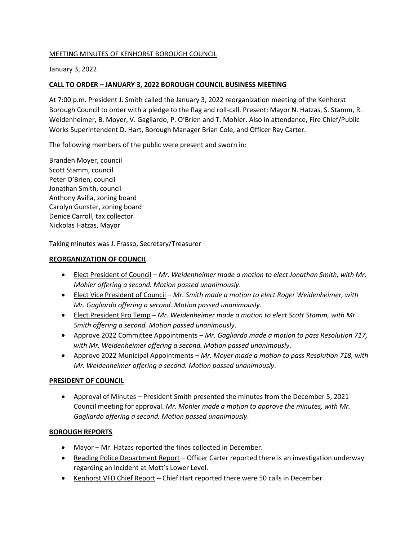## MEETING MINUTES OF KENHORST BOROUGH COUNCIL

January 3, 2022

# **CALL TO ORDER – JANUARY 3, 2022 BOROUGH COUNCIL BUSINESS MEETING**

At 7:00 p.m. President J. Smith called the January 3, 2022 reorganization meeting of the Kenhorst Borough Council to order with a pledge to the flag and roll-call. Present: Mayor N. Hatzas, S. Stamm, R. Weidenheimer, B. Moyer, V. Gagliardo, P. O'Brien and T. Mohler. Also in attendance, Fire Chief/Public Works Superintendent D. Hart, Borough Manager Brian Cole, and Officer Ray Carter.

The following members of the public were present and sworn in:

Branden Moyer, council Scott Stamm, council Peter O'Brien, council Jonathan Smith, council Anthony Avilla, zoning board Carolyn Gunster, zoning board Denice Carroll, tax collector Nickolas Hatzas, Mayor

Taking minutes was J. Frasso, Secretary/Treasurer

## **REORGANIZATION OF COUNCIL**

- Elect President of Council *Mr. Weidenheimer made a motion to elect Jonathan Smith, with Mr. Mohler offering a second. Motion passed unanimously*.
- Elect Vice President of Council *Mr. Smith made a motion to elect Roger Weidenheimer, with Mr. Gagliardo offering a second. Motion passed unanimously*.
- Elect President Pro Temp *Mr. Weidenheimer made a motion to elect Scott Stamm, with Mr. Smith offering a second. Motion passed unanimously*.
- Approve 2022 Committee Appointments *Mr. Gagliardo made a motion to pass Resolution 717, with Mr. Weidenheimer offering a second. Motion passed unanimously*.
- Approve 2022 Municipal Appointments *Mr. Moyer made a motion to pass Resolution 718, with Mr. Weidenheimer offering a second. Motion passed unanimously*.

## **PRESIDENT OF COUNCIL**

• Approval of Minutes – President Smith presented the minutes from the December 5, 2021 Council meeting for approval. *Mr. Mohler made a motion to approve the minutes, with Mr. Gagliardo offering a second. Motion passed unanimously*.

## **BOROUGH REPORTS**

- Mayor Mr. Hatzas reported the fines collected in December.
- Reading Police Department Report Officer Carter reported there is an investigation underway regarding an incident at Mott's Lower Level.
- Kenhorst VFD Chief Report Chief Hart reported there were 50 calls in December.